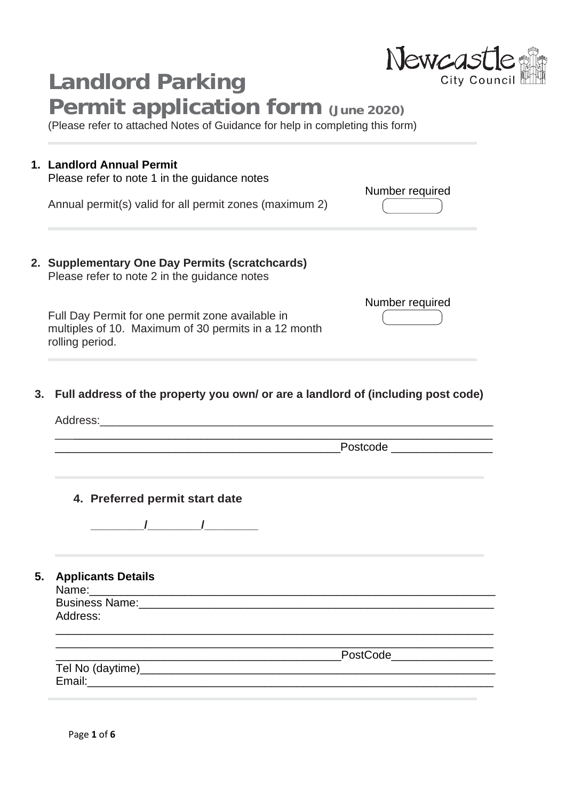| <b>Landlord Parking</b>                                                                                                           | Newcastle                                                                                                             |
|-----------------------------------------------------------------------------------------------------------------------------------|-----------------------------------------------------------------------------------------------------------------------|
| <b>Permit application form (June 2020)</b><br>(Please refer to attached Notes of Guidance for help in completing this form)       |                                                                                                                       |
| 1. Landlord Annual Permit<br>Please refer to note 1 in the guidance notes                                                         |                                                                                                                       |
| Annual permit(s) valid for all permit zones (maximum 2)                                                                           | Number required                                                                                                       |
| 2. Supplementary One Day Permits (scratchcards)<br>Please refer to note 2 in the guidance notes                                   |                                                                                                                       |
|                                                                                                                                   |                                                                                                                       |
|                                                                                                                                   | Number required                                                                                                       |
| Full address of the property you own/ or are a landlord of (including post code)<br>Address:                                      |                                                                                                                       |
| Full Day Permit for one permit zone available in<br>multiples of 10. Maximum of 30 permits in a 12 month<br>rolling period.<br>3. | Postcode <b>Exercía de Senatoria de Senatoria de Senatoria de Senatoria de Senatoria de Senatoria de Senatoria d</b>  |
| 4. Preferred permit start date                                                                                                    |                                                                                                                       |
| $\sqrt{1}$                                                                                                                        |                                                                                                                       |
| <b>Applicants Details</b>                                                                                                         |                                                                                                                       |
| Address:                                                                                                                          | <u> 1989 - Johann Stoff, deutscher Stoff, der Stoff, der Stoff, der Stoff, der Stoff, der Stoff, der Stoff, der S</u> |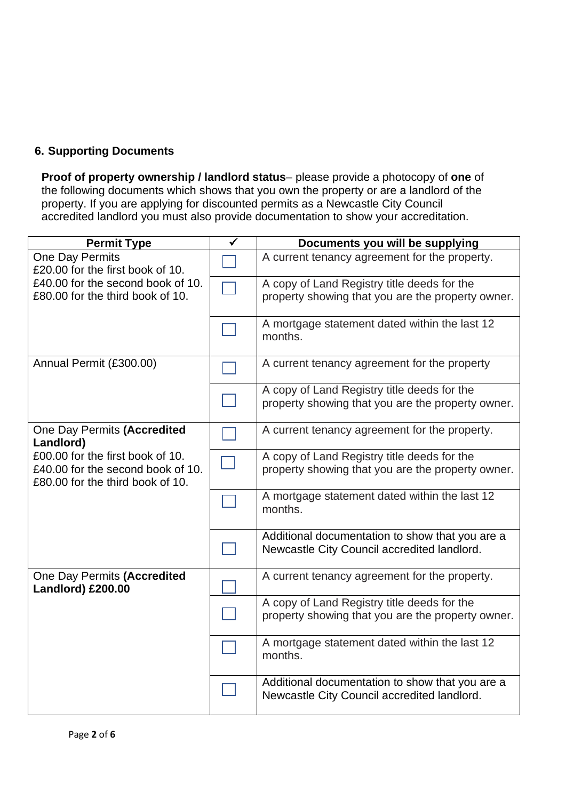# **6. Supporting Documents**

**Proof of property ownership / landlord status**– please provide a photocopy of **one** of the following documents which shows that you own the property or are a landlord of the property. If you are applying for discounted permits as a Newcastle City Council accredited landlord you must also provide documentation to show your accreditation.

| <b>Permit Type</b>                                                                                                                                    | $\overline{\checkmark}$ | Documents you will be supplying                                                                  |
|-------------------------------------------------------------------------------------------------------------------------------------------------------|-------------------------|--------------------------------------------------------------------------------------------------|
| <b>One Day Permits</b><br>£20.00 for the first book of 10.<br>£40.00 for the second book of 10.<br>£80.00 for the third book of 10.                   |                         | A current tenancy agreement for the property.                                                    |
|                                                                                                                                                       |                         | A copy of Land Registry title deeds for the                                                      |
|                                                                                                                                                       |                         | property showing that you are the property owner.                                                |
|                                                                                                                                                       |                         | A mortgage statement dated within the last 12<br>months.                                         |
| Annual Permit (£300.00)                                                                                                                               |                         | A current tenancy agreement for the property                                                     |
|                                                                                                                                                       |                         | A copy of Land Registry title deeds for the                                                      |
|                                                                                                                                                       |                         | property showing that you are the property owner.                                                |
| One Day Permits (Accredited<br>Landlord)<br>£00.00 for the first book of 10.<br>£40.00 for the second book of 10.<br>£80.00 for the third book of 10. |                         | A current tenancy agreement for the property.                                                    |
|                                                                                                                                                       |                         | A copy of Land Registry title deeds for the                                                      |
|                                                                                                                                                       |                         | property showing that you are the property owner.                                                |
|                                                                                                                                                       |                         | A mortgage statement dated within the last 12<br>months.                                         |
|                                                                                                                                                       |                         | Additional documentation to show that you are a<br>Newcastle City Council accredited landlord.   |
| One Day Permits (Accredited<br>Landlord) £200.00                                                                                                      |                         | A current tenancy agreement for the property.                                                    |
|                                                                                                                                                       |                         | A copy of Land Registry title deeds for the<br>property showing that you are the property owner. |
|                                                                                                                                                       |                         |                                                                                                  |
|                                                                                                                                                       |                         | A mortgage statement dated within the last 12<br>months.                                         |
|                                                                                                                                                       |                         | Additional documentation to show that you are a<br>Newcastle City Council accredited landlord.   |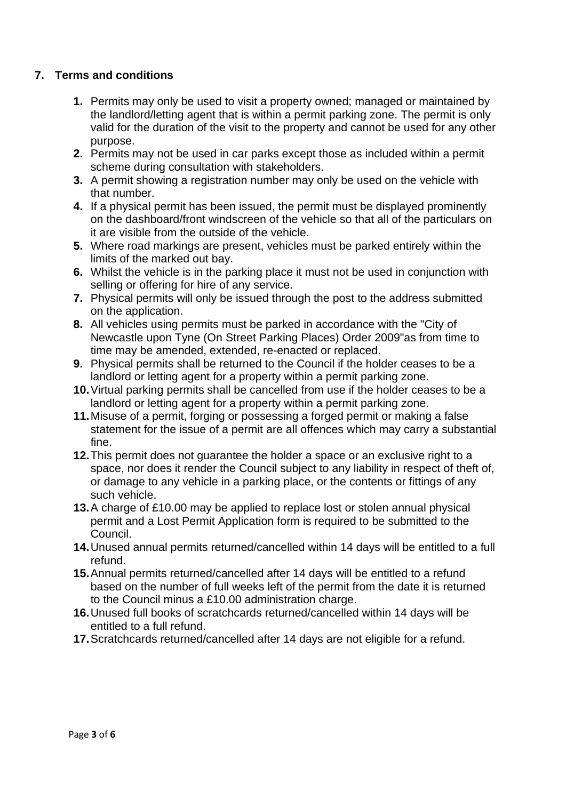# **7. Terms and conditions**

- **1.** Permits may only be used to visit a property owned; managed or maintained by the landlord/letting agent that is within a permit parking zone. The permit is only valid for the duration of the visit to the property and cannot be used for any other purpose.
- **2.** Permits may not be used in car parks except those as included within a permit scheme during consultation with stakeholders.
- **3.** A permit showing a registration number may only be used on the vehicle with that number.
- **4.** If a physical permit has been issued, the permit must be displayed prominently on the dashboard/front windscreen of the vehicle so that all of the particulars on it are visible from the outside of the vehicle.
- **5.** Where road markings are present, vehicles must be parked entirely within the limits of the marked out bay.
- **6.** Whilst the vehicle is in the parking place it must not be used in conjunction with selling or offering for hire of any service.
- **7.** Physical permits will only be issued through the post to the address submitted on the application.
- **8.** All vehicles using permits must be parked in accordance with the "City of Newcastle upon Tyne (On Street Parking Places) Order 2009"as from time to time may be amended, extended, re-enacted or replaced.
- **9.** Physical permits shall be returned to the Council if the holder ceases to be a landlord or letting agent for a property within a permit parking zone.
- **10.**Virtual parking permits shall be cancelled from use if the holder ceases to be a landlord or letting agent for a property within a permit parking zone.
- **11.**Misuse of a permit, forging or possessing a forged permit or making a false statement for the issue of a permit are all offences which may carry a substantial fine.
- **12.**This permit does not guarantee the holder a space or an exclusive right to a space, nor does it render the Council subject to any liability in respect of theft of, or damage to any vehicle in a parking place, or the contents or fittings of any such vehicle.
- **13.**A charge of £10.00 may be applied to replace lost or stolen annual physical permit and a Lost Permit Application form is required to be submitted to the Council.
- **14.**Unused annual permits returned/cancelled within 14 days will be entitled to a full refund.
- **15.**Annual permits returned/cancelled after 14 days will be entitled to a refund based on the number of full weeks left of the permit from the date it is returned to the Council minus a £10.00 administration charge.
- **16.**Unused full books of scratchcards returned/cancelled within 14 days will be entitled to a full refund.
- **17.**Scratchcards returned/cancelled after 14 days are not eligible for a refund.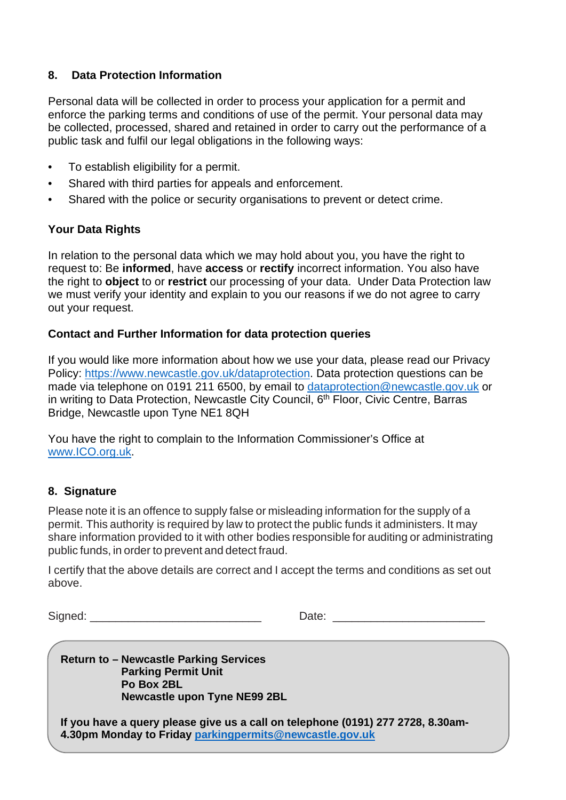# **8. Data Protection Information**

Personal data will be collected in order to process your application for a permit and enforce the parking terms and conditions of use of the permit. Your personal data may be collected, processed, shared and retained in order to carry out the performance of a public task and fulfil our legal obligations in the following ways:

- To establish eligibility for a permit.
- Shared with third parties for appeals and enforcement.
- Shared with the police or security organisations to prevent or detect crime.

# **Your Data Rights**

In relation to the personal data which we may hold about you, you have the right to request to: Be **informed**, have **access** or **rectify** incorrect information. You also have the right to **object** to or **restrict** our processing of your data. Under Data Protection law we must verify your identity and explain to you our reasons if we do not agree to carry out your request.

### **Contact and Further Information for data protection queries**

If you would like more information about how we use your data, please read our Privacy Policy: [https://www.newcastle.gov.uk/dataprotection.](https://www.newcastle.gov.uk/dataprotection) Data protection questions can be made via telephone on 0191 211 6500, by email to [dataprotection@newcastle.gov.uk](mailto:dataprotection@newcastle.gov.uk) or in writing to Data Protection, Newcastle City Council, 6<sup>th</sup> Floor, Civic Centre, Barras Bridge, Newcastle upon Tyne NE1 8QH

You have the right to complain to the Information Commissioner's Office at [www.ICO.org.uk.](http://www.ico.org.uk/)

# **8. Signature**

Please note it is an offence to supply false or misleading information for the supply of a permit. This authority is required by law to protect the public funds it administers. It may share information provided to it with other bodies responsible for auditing or administrating public funds, in order to prevent and detect fraud.

I certify that the above details are correct and I accept the terms and conditions as set out above.

Signed: \_\_\_\_\_\_\_\_\_\_\_\_\_\_\_\_\_\_\_\_\_\_\_\_\_\_\_ Date: \_\_\_\_\_\_\_\_\_\_\_\_\_\_\_\_\_\_\_\_\_\_\_\_

**Return to – Newcastle Parking Services Parking Permit Unit Po Box 2BL Newcastle upon Tyne NE99 2BL**

Page **4** of **6 4.30pm Monday to Friday [parkingpermits@newcastle.gov.uk](mailto:parkingpermits@newcastle.gov.uk)If you have a query please give us a call on telephone (0191) 277 2728, 8.30am-**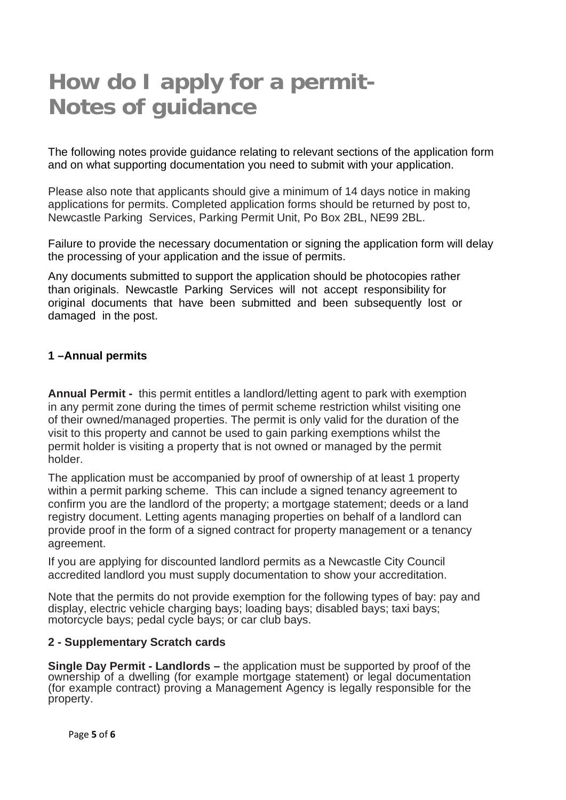# **How do I apply for a permit-Notes of guidance**

The following notes provide guidance relating to relevant sections of the application form and on what supporting documentation you need to submit with your application.

Please also note that applicants should give a minimum of 14 days notice in making applications for permits. Completed application forms should be returned by post to, Newcastle Parking Services, Parking Permit Unit, Po Box 2BL, NE99 2BL.

Failure to provide the necessary documentation or signing the application form will delay the processing of your application and the issue of permits.

Any documents submitted to support the application should be photocopies rather than originals. Newcastle Parking Services will not accept responsibility for original documents that have been submitted and been subsequently lost or damaged in the post.

#### **1 –Annual permits**

**Annual Permit -** this permit entitles a landlord/letting agent to park with exemption in any permit zone during the times of permit scheme restriction whilst visiting one of their owned/managed properties. The permit is only valid for the duration of the visit to this property and cannot be used to gain parking exemptions whilst the permit holder is visiting a property that is not owned or managed by the permit holder.

The application must be accompanied by proof of ownership of at least 1 property within a permit parking scheme. This can include a signed tenancy agreement to confirm you are the landlord of the property; a mortgage statement; deeds or a land registry document. Letting agents managing properties on behalf of a landlord can provide proof in the form of a signed contract for property management or a tenancy agreement.

If you are applying for discounted landlord permits as a Newcastle City Council accredited landlord you must supply documentation to show your accreditation.

Note that the permits do not provide exemption for the following types of bay: pay and display, electric vehicle charging bays; loading bays; disabled bays; taxi bays; motorcycle bays; pedal cycle bays; or car club bays.

#### **2 - Supplementary Scratch cards**

**Single Day Permit - Landlords –** the application must be supported by proof of the ownership of a dwelling (for example mortgage statement) or legal documentation (for example contract) proving a Management Agency is legally responsible for the property.